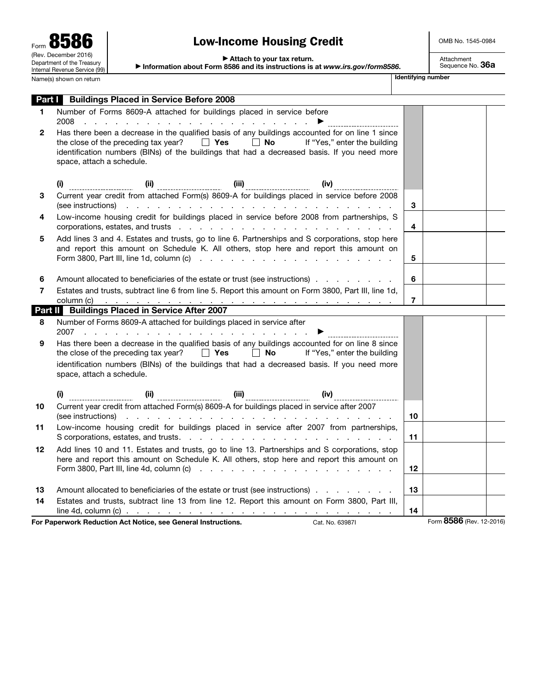$\overline{\phantom{a}}$ 

 $\overline{\phantom{a}}$ 

# Low-Income Housing Credit

OMB No. 1545-0984

▶ Attach to your tax return.

▶ Information about Form 8586 and its instructions is at *www.irs.gov/form8586*.

Attachment<br>Sequence No. **36a** 

|              | <b>Part Buildings Placed in Service Before 2008</b>                                                                                                                                                                                                                                                                                                                       |                         |  |
|--------------|---------------------------------------------------------------------------------------------------------------------------------------------------------------------------------------------------------------------------------------------------------------------------------------------------------------------------------------------------------------------------|-------------------------|--|
| 1.           | Number of Forms 8609-A attached for buildings placed in service before<br>2008<br>. The contract of the contract of the contract of the contract $\blacktriangleright$ . The contract of the contract of the contract of the contract of the contract of the contract of the contract of the contract of the contract of the                                              |                         |  |
| $\mathbf{2}$ | Has there been a decrease in the qualified basis of any buildings accounted for on line 1 since<br>the close of the preceding tax year? $\Box$ Yes $\Box$ No If "Yes," enter the building<br>identification numbers (BINs) of the buildings that had a decreased basis. If you need more<br>space, attach a schedule.                                                     |                         |  |
|              |                                                                                                                                                                                                                                                                                                                                                                           |                         |  |
| 3            | (see instructions) and a series are a series and series and series are a series and series are a series and series are a series of $\sim$                                                                                                                                                                                                                                 | 3                       |  |
| 4            | Low-income housing credit for buildings placed in service before 2008 from partnerships, S                                                                                                                                                                                                                                                                                | $\overline{\mathbf{4}}$ |  |
| 5            | Add lines 3 and 4. Estates and trusts, go to line 6. Partnerships and S corporations, stop here<br>and report this amount on Schedule K. All others, stop here and report this amount on<br>Form 3800, Part III, line 1d, column (c) $\cdots$ $\cdots$ $\cdots$ $\cdots$ $\cdots$ $\cdots$ $\cdots$ $\cdots$                                                              | 5                       |  |
| 6            | Amount allocated to beneficiaries of the estate or trust (see instructions)                                                                                                                                                                                                                                                                                               | 6                       |  |
| 7            | Estates and trusts, subtract line 6 from line 5. Report this amount on Form 3800, Part III, line 1d,                                                                                                                                                                                                                                                                      | $\overline{7}$          |  |
|              | Part II Buildings Placed in Service After 2007                                                                                                                                                                                                                                                                                                                            |                         |  |
| 8            | Number of Forms 8609-A attached for buildings placed in service after<br>2007                                                                                                                                                                                                                                                                                             |                         |  |
| 9            | Has there been a decrease in the qualified basis of any buildings accounted for on line 8 since<br>the close of the preceding tax year? $\Box$ Yes $\Box$ No If "Yes," enter the building<br>identification numbers (BINs) of the buildings that had a decreased basis. If you need more<br>space, attach a schedule.                                                     |                         |  |
|              | $(iii)$ $(ii)$ $(iii)$ $(iiii)$ $(iv)$ $(iv)$ $(iiv)$ $(iiv)$ $(iiv)$ $(iiv)$ $(iiv)$ $(iiv)$ $(iiv)$ $(iiv)$ $(iiv)$ $(iiv)$ $(iiv)$ $(iiv)$ $(iiv)$ $(iiv)$ $(iiv)$ $(iiv)$ $(iiv)$ $(iiv)$ $(iiv)$ $(iv)$ $(iv)$ $(iv)$ $(iv)$ $(iv)$ $(iv)$ $(iv)$ $(iv)$ $(iv)$ $(iv)$ $(iv)$ $(iv)$ $(i$                                                                            |                         |  |
| 10           | Current year credit from attached Form(s) 8609-A for buildings placed in service after 2007                                                                                                                                                                                                                                                                               | 10                      |  |
| 11           | Low-income housing credit for buildings placed in service after 2007 from partnerships,                                                                                                                                                                                                                                                                                   | 11                      |  |
| 12           | Add lines 10 and 11. Estates and trusts, go to line 13. Partnerships and S corporations, stop<br>here and report this amount on Schedule K. All others, stop here and report this amount on<br>Form 3800, Part III, line 4d, column (c) $\therefore$ $\therefore$ $\therefore$ $\therefore$ $\therefore$ $\therefore$ $\therefore$ $\therefore$ $\therefore$ $\therefore$ | $12 \,$                 |  |
|              |                                                                                                                                                                                                                                                                                                                                                                           |                         |  |
| 13<br>14     | Amount allocated to beneficiaries of the estate or trust (see instructions)<br>Estates and trusts, subtract line 13 from line 12. Report this amount on Form 3800, Part III,                                                                                                                                                                                              | 13                      |  |
|              | line 4d, column (c) $\ldots$ $\ldots$ $\ldots$ $\ldots$ $\ldots$ $\ldots$ $\ldots$ $\ldots$ $\ldots$ $\ldots$ $\ldots$ $\ldots$                                                                                                                                                                                                                                           | 14                      |  |

For Paperwork Reduction Act Notice, see General Instructions. Cat. No. 63987I Form 8586 (Rev. 12-2016)